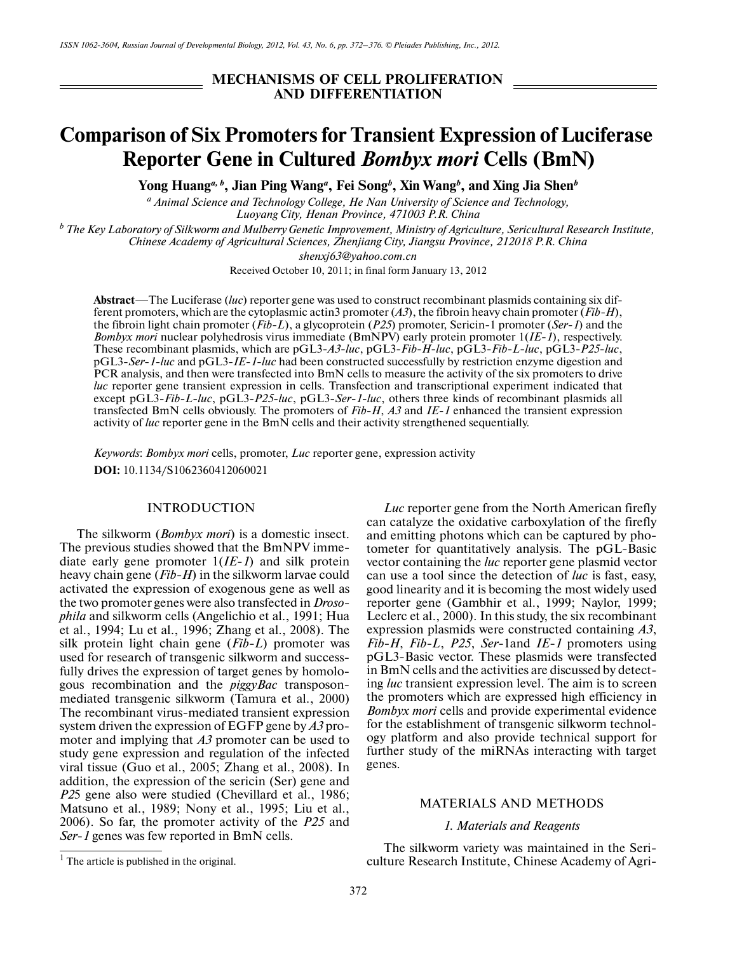**MECHANISMS OF CELL PROLIFERATION AND DIFFERENTIATION**

# **Comparison of Six Promoters for Transient Expression of Luciferase Reporter Gene in Cultured** *Bombyx mori* **Cells (BmN)**

**Yong Huang***a, b***, Jian Ping Wang***<sup>a</sup>* **, Fei Song***<sup>b</sup>* **, Xin Wang***<sup>b</sup>* **, and Xing Jia Shen***<sup>b</sup>*

*a Animal Science and Technology College, He Nan University of Science and Technology, Luoyang City, Henan Province, 471003 P.R. China*

*b The Key Laboratory of Silkworm and Mulberry Genetic Improvement, Ministry of Agriculture, Sericultural Research Institute, Chinese Academy of Agricultural Sciences, Zhenjiang City, Jiangsu Province, 212018 P.R. China*

*shenxj63@yahoo.com.cn*

Received October 10, 2011; in final form January 13, 2012

**Abstract**—The Luciferase (*luc*) reporter gene was used to construct recombinant plasmids containing six dif ferent promoters, which are the cytoplasmic actin3 promoter (*A3*), the fibroin heavy chain promoter (*Fib-H*), the fibroin light chain promoter (*Fib-L*), a glycoprotein (*P25*) promoter, Sericin-1 promoter (*Ser-1*) and the *Bombyx mori* nuclear polyhedrosis virus immediate (BmNPV) early protein promoter 1(*IE-1*), respectively. These recombinant plasmids, which are pGL3-*A3-luc*, pGL3-*Fib*-*H*-*luc*, pGL3-*Fib*-*L*-*luc*, pGL3-*P25*-*luc*, pGL3-*Ser*-*1*-*luc* and pGL3-*IE*-*1*-*luc* had been constructed successfully by restriction enzyme digestion and PCR analysis, and then were transfected into BmN cells to measure the activity of the six promoters to drive *luc* reporter gene transient expression in cells. Transfection and transcriptional experiment indicated that except pGL3-*Fib*-*L*-*luc*, pGL3-*P25*-*luc*, pGL3-*Ser-1*-*luc*, others three kinds of recombinant plasmids all transfected BmN cells obviously. The promoters of *Fib*-*H*, *A3* and *IE-1* enhanced the transient expression activity of *luc* reporter gene in the BmN cells and their activity strengthened sequentially.

*Keywords*: *Bombyx mori* cells, promoter, *Luc* reporter gene, expression activity **DOI:** 10.1134/S1062360412060021

## **INTRODUCTION**

The silkworm (*Bombyx mori*) is a domestic insect. The previous studies showed that the BmNPV imme diate early gene promoter 1(*IE*-*1*) and silk protein heavy chain gene (*Fib-H*) in the silkworm larvae could activated the expression of exogenous gene as well as the two promoter genes were also transfected in *Droso phila* and silkworm cells (Angelichio et al., 1991; Hua et al., 1994; Lu et al., 1996; Zhang et al., 2008). The silk protein light chain gene (*Fib-L*) promoter was used for research of transgenic silkworm and successfully drives the expression of target genes by homolo gous recombination and the *piggyBac* transposon mediated transgenic silkworm (Tamura et al., 2000) The recombinant virus-mediated transient expression system driven the expression of EGFP gene by *A3* pro moter and implying that *A3* promoter can be used to study gene expression and regulation of the infected viral tissue (Guo et al., 2005; Zhang et al., 2008). In addition, the expression of the sericin (Ser) gene and *P2*5 gene also were studied (Chevillard et al., 1986; Matsuno et al., 1989; Nony et al., 1995; Liu et al., 2006). So far, the promoter activity of the *P25* and *Ser*-*1* genes was few reported in BmN cells.

*Luc* reporter gene from the North American firefly can catalyze the oxidative carboxylation of the firefly and emitting photons which can be captured by pho tometer for quantitatively analysis. The pGL-Basic vector containing the *luc* reporter gene plasmid vector can use a tool since the detection of *luc* is fast, easy, good linearity and it is becoming the most widely used reporter gene (Gambhir et al., 1999; Naylor, 1999; Leclerc et al., 2000). In this study, the six recombinant expression plasmids were constructed containing *A3*, *Fib-H*, *Fib-L*, *P25*, *Ser-*1and *IE-1* promoters using pGL3-Basic vector. These plasmids were transfected in BmN cells and the activities are discussed by detect ing *luc* transient expression level. The aim is to screen the promoters which are expressed high efficiency in *Bombyx mori* cells and provide experimental evidence for the establishment of transgenic silkworm technol ogy platform and also provide technical support for further study of the miRNAs interacting with target genes.

#### MATERIALS AND METHODS

# *1. Materials and Reagents*

The silkworm variety was maintained in the Seri culture Research Institute, Chinese Academy of Agri-

 $<sup>1</sup>$  The article is published in the original.</sup>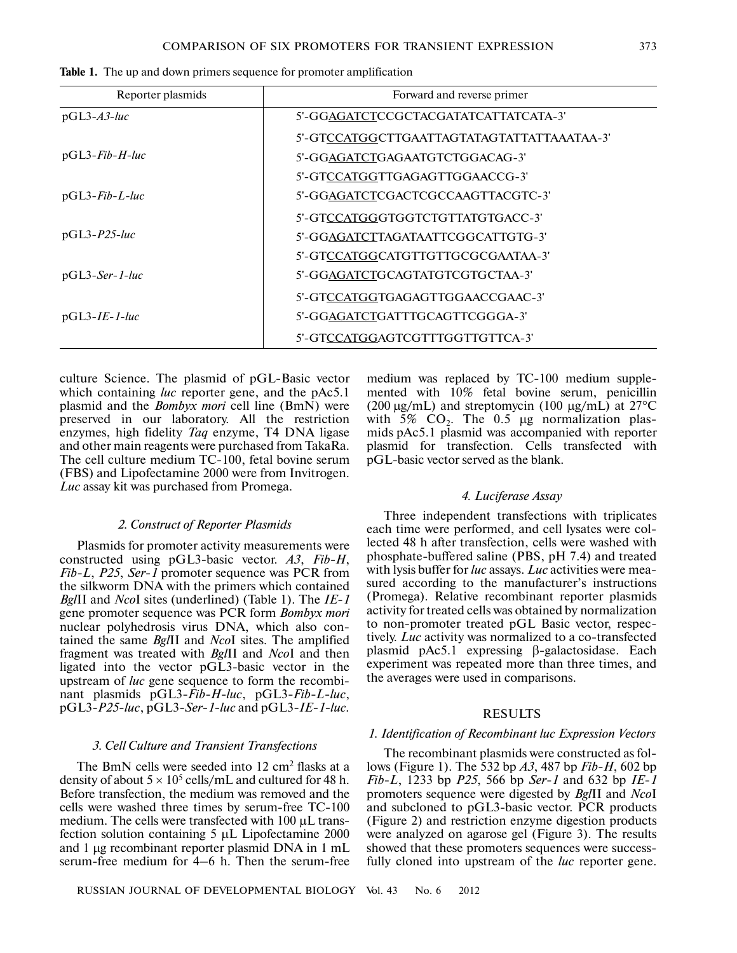| Reporter plasmids | Forward and reverse primer                 |  |  |  |
|-------------------|--------------------------------------------|--|--|--|
| $pGL3-A3-luc$     | 5'-GGAGATCTCCGCTACGATATCATTATCATA-3'       |  |  |  |
|                   | 5'-GTCCATGGCTTGAATTAGTATAGTATTATTAAATAA-3' |  |  |  |
| $pGL3$ -Fib-H-luc | 5'-GGAGATCTGAGAATGTCTGGACAG-3'             |  |  |  |
|                   | 5'-GTCCATGGTTGAGAGTTGGAACCG-3'             |  |  |  |
| $pGL3$ -Fib-L-luc | 5'-GGAGATCTCGACTCGCCAAGTTACGTC-3'          |  |  |  |
|                   | 5'-GTCCATGGGTGGTCTGTTATGTGACC-3'           |  |  |  |
| $pGL3-P25-luc$    | 5'-GGAGATCTTAGATAATTCGGCATTGTG-3'          |  |  |  |
|                   | 5'-GTCCATGGCATGTTGTTGCGCGAATAA-3'          |  |  |  |
| $pGL3-Ser-1-luc$  | 5'-GGAGATCTGCAGTATGTCGTGCTAA-3'            |  |  |  |
|                   | 5'-GTCCATGGTGAGAGTTGGAACCGAAC-3'           |  |  |  |
| $pGL3-IE-I-luc$   | 5'-GGAGATCTGATTTGCAGTTCGGGA-3'             |  |  |  |
|                   | 5'-GTCCATGGAGTCGTTTGGTTGTTCA-3'            |  |  |  |

**Table 1.** The up and down primers sequence for promoter amplification

culture Science. The plasmid of pGL-Basic vector which containing *luc* reporter gene, and the pAc5.1 plasmid and the *Bombyx mori* cell line (BmN) were preserved in our laboratory. All the restriction enzymes, high fidelity *Taq* enzyme, T4 DNA ligase and other main reagents were purchased from TakaRa. The cell culture medium TC-100, fetal bovine serum (FBS) and Lipofectamine 2000 were from Invitrogen. *Luc* assay kit was purchased from Promega.

## *2. Construct of Reporter Plasmids*

Plasmids for promoter activity measurements were constructed using pGL3-basic vector. *A3*, *Fib-H*, *Fib-L*, *P25*, *Ser-1* promoter sequence was PCR from the silkworm DNA with the primers which contained *Bgl*II and *Nco*I sites (underlined) (Table 1). The *IE*-*1* gene promoter sequence was PCR form *Bombyx mori* nuclear polyhedrosis virus DNA, which also con tained the same *Bgl*II and *Nco*I sites. The amplified fragment was treated with *Bgl*II and *Nco*I and then ligated into the vector pGL3-basic vector in the upstream of *luc* gene sequence to form the recombi nant plasmids pGL3*-Fib-H-luc*, pGL3*-Fib-L-luc*, pGL3*-P25-luc*, pGL3*-Ser-1-luc* and pGL3*-IE-1-luc.*

#### *3. Cell Culture and Transient Transfections*

The BmN cells were seeded into 12 cm<sup>2</sup> flasks at a density of about  $5 \times 10^5$  cells/mL and cultured for 48 h. Before transfection, the medium was removed and the cells were washed three times by serum-free TC-100 medium. The cells were transfected with 100 μL trans fection solution containing 5 μL Lipofectamine 2000 and 1 μg recombinant reporter plasmid DNA in 1 mL serum-free medium for 4–6 h. Then the serum-free

RUSSIAN JOURNAL OF DEVELOPMENTAL BIOLOGY Vol. 43 No. 6 2012

medium was replaced by TC-100 medium supple mented with 10% fetal bovine serum, penicillin (200 μg/mL) and streptomycin (100 μg/mL) at  $27^{\circ}$ C with 5%  $CO<sub>2</sub>$ . The 0.5 µg normalization plasmids pAc5.1 plasmid was accompanied with reporter plasmid for transfection. Cells transfected with pGL-basic vector served as the blank.

## *4. Luciferase Assay*

Three independent transfections with triplicates each time were performed, and cell lysates were col lected 48 h after transfection, cells were washed with phosphate-buffered saline (PBS, pH 7.4) and treated with lysis buffer for *luc* assays. *Luc* activities were mea sured according to the manufacturer's instructions (Promega). Relative recombinant reporter plasmids activity for treated cells was obtained by normalization to non-promoter treated pGL Basic vector, respec tively. *Luc* activity was normalized to a co-transfected plasmid pAc5.1 expressing β-galactosidase. Each experiment was repeated more than three times, and the averages were used in comparisons.

## RESULTS

# *1. Identification of Recombinant luc Expression Vectors*

The recombinant plasmids were constructed as fol lows (Figure 1). The 532 bp *A3*, 487 bp *Fib-H*, 602 bp *Fib-L*, 1233 bp *P25*, 566 bp *Ser-1* and 632 bp *IE*-*1* promoters sequence were digested by *Bgl*II and *Nco*I and subcloned to pGL3-basic vector. PCR products (Figure 2) and restriction enzyme digestion products were analyzed on agarose gel (Figure 3). The results showed that these promoters sequences were success fully cloned into upstream of the *luc* reporter gene.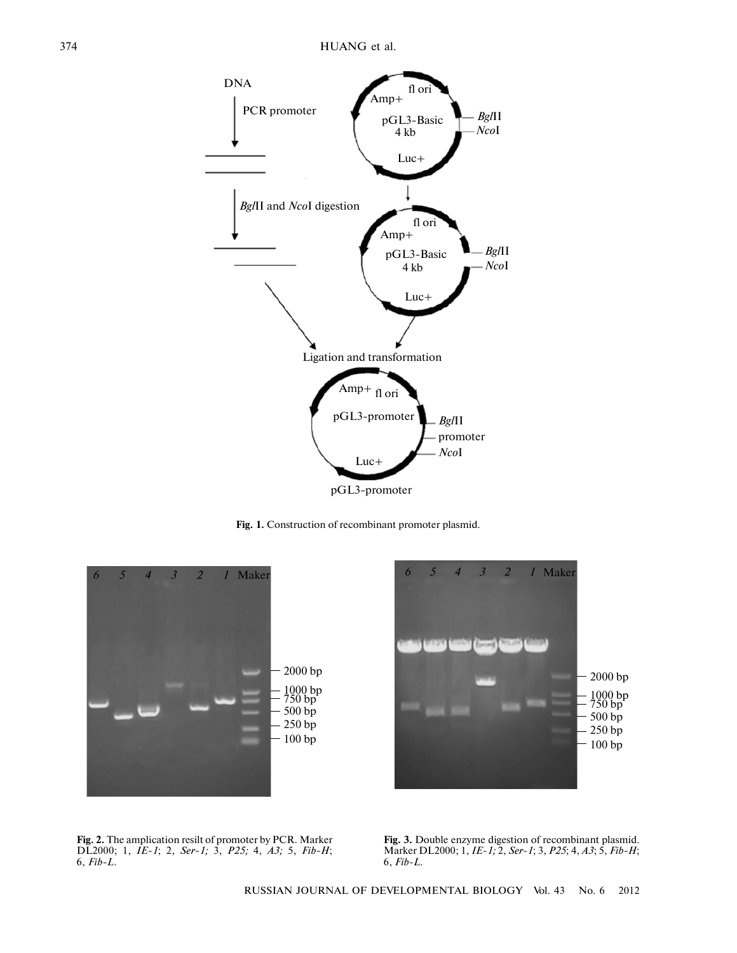

**Fig. 1.** Construction of recombinant promoter plasmid.





**Fig. 2.** The amplication resilt of promoter by PCR. Marker DL2000; 1, *IE-1*; 2, *Ser-1;* 3, *P25;* 4, *A3;* 5, *Fib-H*; 6, *Fib-L.*

**Fig. 3.** Double enzyme digestion of recombinant plasmid. Marker DL2000; 1, *IE-1;* 2, *Ser-1*; 3, *P25*; 4, *A3*; 5, *Fib-H*; 6, *Fib-L.*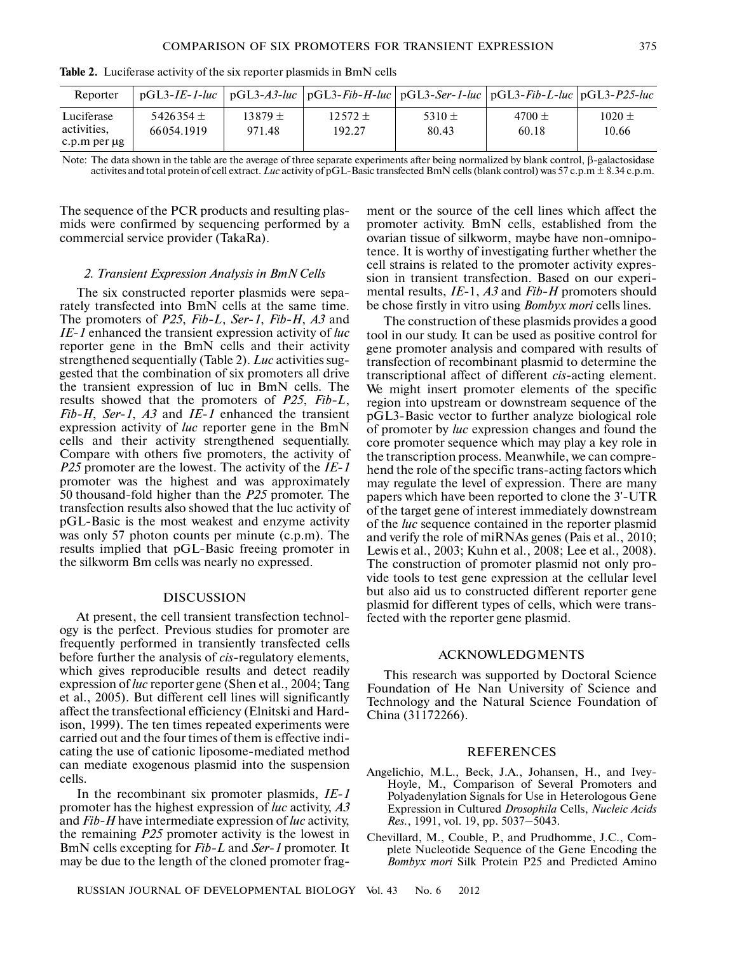| Reporter                                  |                             |                       | $pGL3-IE-1-luc$   $pGL3-A3-luc$   $pGL3-Fib-H-luc$   $pGL3-Ser-1-luc$   $pGL3-Fib-L-luc$   $pGL3-P25-luc$ |                     |                     |                     |
|-------------------------------------------|-----------------------------|-----------------------|-----------------------------------------------------------------------------------------------------------|---------------------|---------------------|---------------------|
| Luciferase<br>activities.<br>c.p.m per ug | $5426354 \pm$<br>66054.1919 | $13879 \pm$<br>971.48 | $12572 \pm$<br>192.27                                                                                     | 5310 $\pm$<br>80.43 | 4700 $\pm$<br>60.18 | $1020 \pm$<br>10.66 |

**Table 2.** Luciferase activity of the six reporter plasmids in BmN cells

Note: The data shown in the table are the average of three separate experiments after being normalized by blank control, β-galactosidase activites and total protein of cell extract. *Luc* activity of pGL-Basic transfected BmN cells (blank control) was 57 c.p.m ± 8.34 c.p.m.

The sequence of the PCR products and resulting plas mids were confirmed by sequencing performed by a commercial service provider (TakaRa).

#### *2. Transient Expression Analysis in BmN Cells*

The six constructed reporter plasmids were sepa rately transfected into BmN cells at the same time. The promoters of *P25*, *Fib-L*, *Ser*-*1*, *Fib-H*, *A3* and *IE*-*1* enhanced the transient expression activity of *luc* reporter gene in the BmN cells and their activity strengthened sequentially (Table 2). *Luc* activities sug gested that the combination of six promoters all drive the transient expression of luc in BmN cells. The results showed that the promoters of *P25*, *Fib-L*, *Fib-H*, *Ser-1*, *A3* and *IE*-*1* enhanced the transient expression activity of *luc* reporter gene in the BmN cells and their activity strengthened sequentially. Compare with others five promoters, the activity of *P25* promoter are the lowest. The activity of the *IE*-*1* promoter was the highest and was approximately 50 thousand-fold higher than the *P25* promoter. The transfection results also showed that the luc activity of pGL-Basic is the most weakest and enzyme activity was only 57 photon counts per minute (c.p.m). The results implied that pGL-Basic freeing promoter in the silkworm Bm cells was nearly no expressed.

## DISCUSSION

At present, the cell transient transfection technol ogy is the perfect. Previous studies for promoter are frequently performed in transiently transfected cells before further the analysis of *cis-*regulatory elements, which gives reproducible results and detect readily expression of *luc* reporter gene (Shen et al., 2004; Tang et al., 2005). But different cell lines will significantly affect the transfectional efficiency (Elnitski and Hard ison, 1999). The ten times repeated experiments were carried out and the four times of them is effective indi cating the use of cationic liposome-mediated method can mediate exogenous plasmid into the suspension cells.

In the recombinant six promoter plasmids, *IE*-*1* promoter has the highest expression of *luc* activity, *A3* and *Fib-H* have intermediate expression of *luc* activity, the remaining *P25* promoter activity is the lowest in BmN cells excepting for *Fib-L* and *Ser*-*1* promoter. It may be due to the length of the cloned promoter fragment or the source of the cell lines which affect the promoter activity. BmN cells, established from the ovarian tissue of silkworm, maybe have non-omnipo tence. It is worthy of investigating further whether the cell strains is related to the promoter activity expres sion in transient transfection. Based on our experi mental results, *IE*-1, *A3* and *Fib-H* promoters should be chose firstly in vitro using *Bombyx mori* cells lines.

The construction of these plasmids provides a good tool in our study. It can be used as positive control for gene promoter analysis and compared with results of transfection of recombinant plasmid to determine the transcriptional affect of different *cis*-acting element. We might insert promoter elements of the specific region into upstream or downstream sequence of the pGL3-Basic vector to further analyze biological role of promoter by *luc* expression changes and found the core promoter sequence which may play a key role in the transcription process. Meanwhile, we can compre hend the role of the specific trans-acting factors which may regulate the level of expression. There are many papers which have been reported to clone the 3'-UTR of the target gene of interest immediately downstream of the *luc* sequence contained in the reporter plasmid and verify the role of miRNAs genes (Pais et al., 2010; Lewis et al., 2003; Kuhn et al., 2008; Lee et al., 2008). The construction of promoter plasmid not only pro vide tools to test gene expression at the cellular level but also aid us to constructed different reporter gene plasmid for different types of cells, which were trans fected with the reporter gene plasmid.

# ACKNOWLEDGMENTS

This research was supported by Doctoral Science Foundation of He Nan University of Science and Technology and the Natural Science Foundation of China (31172266).

#### REFERENCES

- Angelichio, M.L., Beck, J.A., Johansen, H., and Ivey- Hoyle, M., Comparison of Several Promoters and Polyadenylation Signals for Use in Heterologous Gene Expression in Cultured *Drosophila* Cells, *Nucleic Acids Res.*, 1991, vol. 19, pp. 5037–5043.
- Chevillard, M., Couble, P., and Prudhomme, J.C., Com plete Nucleotide Sequence of the Gene Encoding the *Bombyx mori* Silk Protein P25 and Predicted Amino